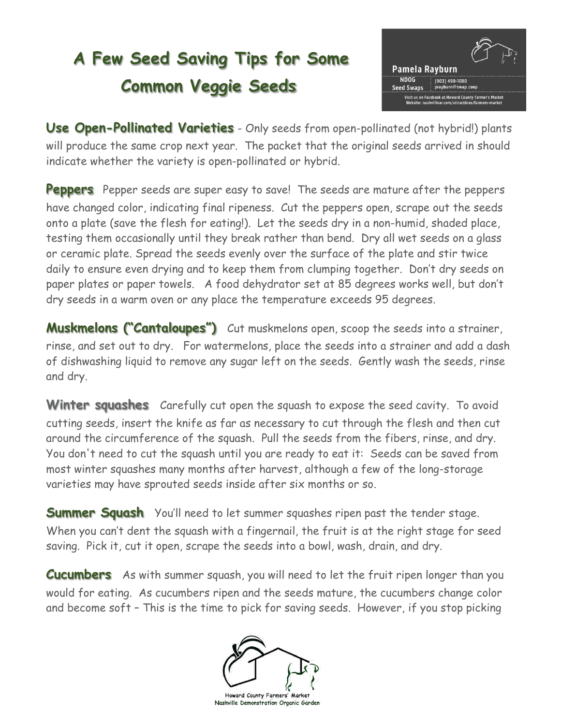## **A Few Seed Saving Tips for Some Common Veggie Seeds**



**Use Open-Pollinated Varieties** - Only seeds from open-pollinated (not hybrid!) plants will produce the same crop next year. The packet that the original seeds arrived in should indicate whether the variety is open-pollinated or hybrid.

**Peppers** Pepper seeds are super easy to save! The seeds are mature after the peppers have changed color, indicating final ripeness. Cut the peppers open, scrape out the seeds onto a plate (save the flesh for eating!). Let the seeds dry in a non-humid, shaded place, testing them occasionally until they break rather than bend. Dry all wet seeds on a glass or ceramic plate. Spread the seeds evenly over the surface of the plate and stir twice daily to ensure even drying and to keep them from clumping together. Don't dry seeds on paper plates or paper towels. A food dehydrator set at 85 degrees works well, but don't dry seeds in a warm oven or any place the temperature exceeds 95 degrees.

**Muskmelons ("Cantaloupes")** Cut muskmelons open, scoop the seeds into a strainer, rinse, and set out to dry. For watermelons, place the seeds into a strainer and add a dash of dishwashing liquid to remove any sugar left on the seeds. Gently wash the seeds, rinse and dry.

**Winter squashes** Carefully cut open the squash to expose the seed cavity. To avoid cutting seeds, insert the knife as far as necessary to cut through the flesh and then cut around the circumference of the squash. Pull the seeds from the fibers, rinse, and dry. You don't need to cut the squash until you are ready to eat it: Seeds can be saved from most winter squashes many months after harvest, although a few of the long-storage varieties may have sprouted seeds inside after six months or so.

**Summer Squash** You'll need to let summer squashes ripen past the tender stage. When you can't dent the squash with a fingernail, the fruit is at the right stage for seed saving. Pick it, cut it open, scrape the seeds into a bowl, wash, drain, and dry.

**Cucumbers** As with summer squash, you will need to let the fruit ripen longer than you would for eating. As [cucumbers](https://www.rodalesorganiclife.com/garden/growing-cucumbers) ripen and the seeds mature, the cucumbers change color and become soft – This is the time to pick for saving seeds. However, if you stop picking